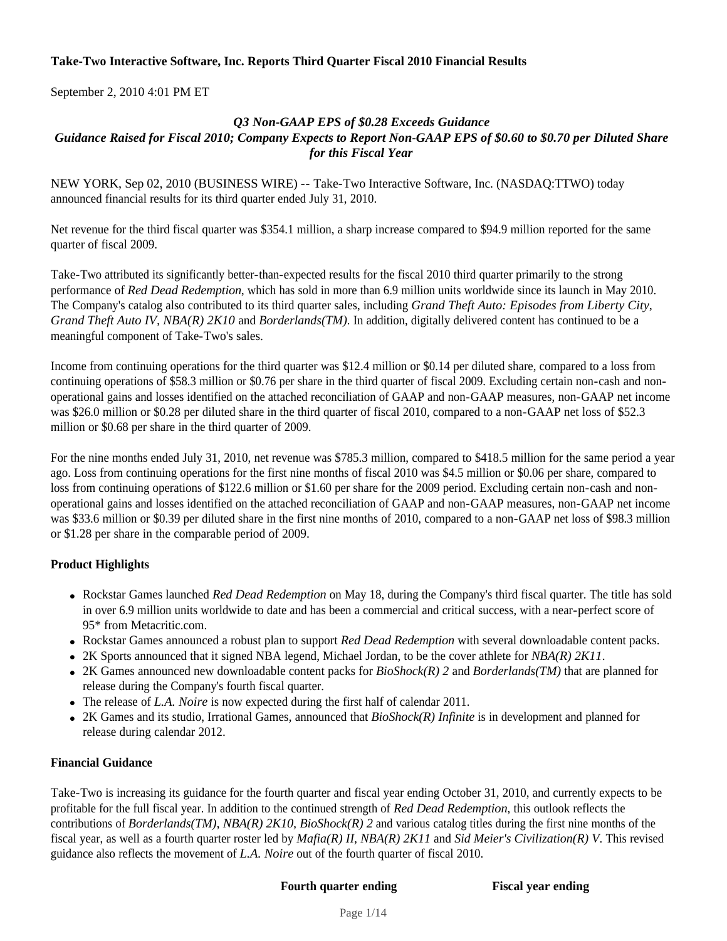## **Take-Two Interactive Software, Inc. Reports Third Quarter Fiscal 2010 Financial Results**

September 2, 2010 4:01 PM ET

#### *Q3 Non-GAAP EPS of \$0.28 Exceeds Guidance Guidance Raised for Fiscal 2010; Company Expects to Report Non-GAAP EPS of \$0.60 to \$0.70 per Diluted Share for this Fiscal Year*

NEW YORK, Sep 02, 2010 (BUSINESS WIRE) -- Take-Two Interactive Software, Inc. (NASDAQ:TTWO) today announced financial results for its third quarter ended July 31, 2010.

Net revenue for the third fiscal quarter was \$354.1 million, a sharp increase compared to \$94.9 million reported for the same quarter of fiscal 2009.

Take-Two attributed its significantly better-than-expected results for the fiscal 2010 third quarter primarily to the strong performance of *Red Dead Redemption*, which has sold in more than 6.9 million units worldwide since its launch in May 2010. The Company's catalog also contributed to its third quarter sales, including *Grand Theft Auto: Episodes from Liberty City*, *Grand Theft Auto IV, NBA(R) 2K10* and *Borderlands(TM)*. In addition, digitally delivered content has continued to be a meaningful component of Take-Two's sales.

Income from continuing operations for the third quarter was \$12.4 million or \$0.14 per diluted share, compared to a loss from continuing operations of \$58.3 million or \$0.76 per share in the third quarter of fiscal 2009. Excluding certain non-cash and nonoperational gains and losses identified on the attached reconciliation of GAAP and non-GAAP measures, non-GAAP net income was \$26.0 million or \$0.28 per diluted share in the third quarter of fiscal 2010, compared to a non-GAAP net loss of \$52.3 million or \$0.68 per share in the third quarter of 2009.

For the nine months ended July 31, 2010, net revenue was \$785.3 million, compared to \$418.5 million for the same period a year ago. Loss from continuing operations for the first nine months of fiscal 2010 was \$4.5 million or \$0.06 per share, compared to loss from continuing operations of \$122.6 million or \$1.60 per share for the 2009 period. Excluding certain non-cash and nonoperational gains and losses identified on the attached reconciliation of GAAP and non-GAAP measures, non-GAAP net income was \$33.6 million or \$0.39 per diluted share in the first nine months of 2010, compared to a non-GAAP net loss of \$98.3 million or \$1.28 per share in the comparable period of 2009.

## **Product Highlights**

- Rockstar Games launched *Red Dead Redemption* on May 18, during the Company's third fiscal quarter. The title has sold in over 6.9 million units worldwide to date and has been a commercial and critical success, with a near-perfect score of 95\* from Metacritic.com.
- Rockstar Games announced a robust plan to support *Red Dead Redemption* with several downloadable content packs.
- 2K Sports announced that it signed NBA legend, Michael Jordan, to be the cover athlete for *NBA(R) 2K11*.
- 2K Games announced new downloadable content packs for *BioShock(R) 2* and *Borderlands(TM)* that are planned for release during the Company's fourth fiscal quarter.
- The release of *L.A. Noire* is now expected during the first half of calendar 2011.
- 2K Games and its studio, Irrational Games*,* announced that *BioShock(R) Infinite* is in development and planned for release during calendar 2012.

#### **Financial Guidance**

Take-Two is increasing its guidance for the fourth quarter and fiscal year ending October 31, 2010, and currently expects to be profitable for the full fiscal year. In addition to the continued strength of *Red Dead Redemption*, this outlook reflects the contributions of *Borderlands(TM)*, *NBA(R) 2K10, BioShock(R) 2* and various catalog titles during the first nine months of the fiscal year, as well as a fourth quarter roster led by *Mafia(R) II, NBA(R) 2K11* and *Sid Meier's Civilization(R) V*. This revised guidance also reflects the movement of *L.A. Noire* out of the fourth quarter of fiscal 2010.

#### Fourth quarter ending **Fiscal year ending**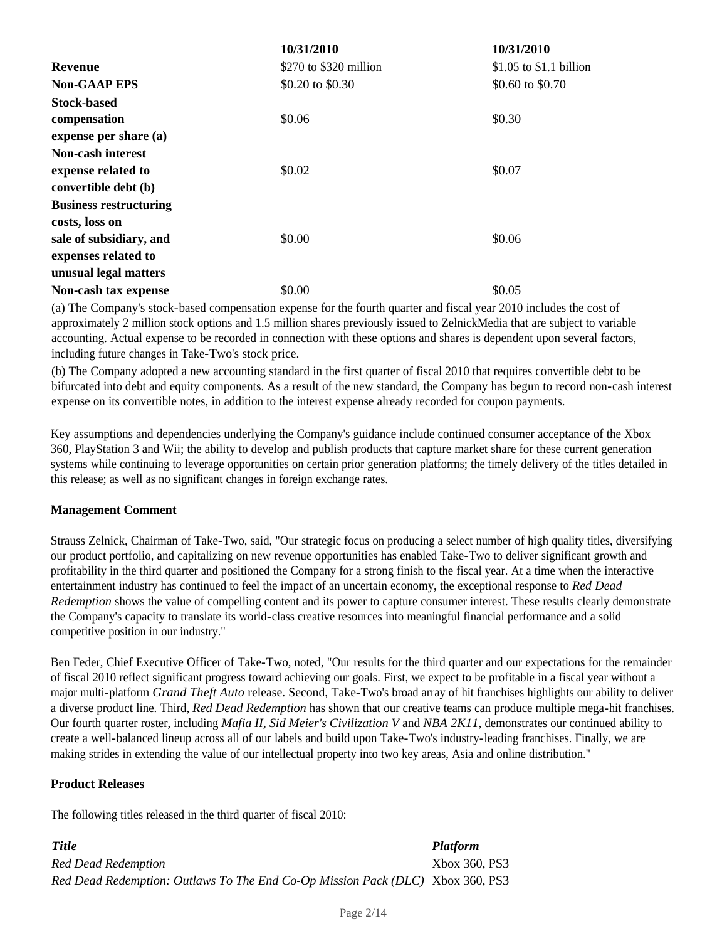|                               | 10/31/2010             | 10/31/2010                |
|-------------------------------|------------------------|---------------------------|
| <b>Revenue</b>                | \$270 to \$320 million | $$1.05$ to $$1.1$ billion |
| <b>Non-GAAP EPS</b>           | \$0.20 to \$0.30       | \$0.60 to \$0.70          |
| <b>Stock-based</b>            |                        |                           |
| compensation                  | \$0.06                 | \$0.30                    |
| expense per share (a)         |                        |                           |
| <b>Non-cash interest</b>      |                        |                           |
| expense related to            | \$0.02                 | \$0.07                    |
| convertible debt (b)          |                        |                           |
| <b>Business restructuring</b> |                        |                           |
| costs, loss on                |                        |                           |
| sale of subsidiary, and       | \$0.00                 | \$0.06                    |
| expenses related to           |                        |                           |
| unusual legal matters         |                        |                           |
| Non-cash tax expense          | \$0.00                 | \$0.05                    |

(a) The Company's stock-based compensation expense for the fourth quarter and fiscal year 2010 includes the cost of approximately 2 million stock options and 1.5 million shares previously issued to ZelnickMedia that are subject to variable accounting. Actual expense to be recorded in connection with these options and shares is dependent upon several factors, including future changes in Take-Two's stock price.

(b) The Company adopted a new accounting standard in the first quarter of fiscal 2010 that requires convertible debt to be bifurcated into debt and equity components. As a result of the new standard, the Company has begun to record non-cash interest expense on its convertible notes, in addition to the interest expense already recorded for coupon payments.

Key assumptions and dependencies underlying the Company's guidance include continued consumer acceptance of the Xbox 360, PlayStation 3 and Wii; the ability to develop and publish products that capture market share for these current generation systems while continuing to leverage opportunities on certain prior generation platforms; the timely delivery of the titles detailed in this release; as well as no significant changes in foreign exchange rates.

#### **Management Comment**

Strauss Zelnick, Chairman of Take-Two, said, "Our strategic focus on producing a select number of high quality titles, diversifying our product portfolio, and capitalizing on new revenue opportunities has enabled Take-Two to deliver significant growth and profitability in the third quarter and positioned the Company for a strong finish to the fiscal year. At a time when the interactive entertainment industry has continued to feel the impact of an uncertain economy, the exceptional response to *Red Dead Redemption* shows the value of compelling content and its power to capture consumer interest. These results clearly demonstrate the Company's capacity to translate its world-class creative resources into meaningful financial performance and a solid competitive position in our industry."

Ben Feder, Chief Executive Officer of Take-Two, noted, "Our results for the third quarter and our expectations for the remainder of fiscal 2010 reflect significant progress toward achieving our goals. First, we expect to be profitable in a fiscal year without a major multi-platform *Grand Theft Auto* release. Second, Take-Two's broad array of hit franchises highlights our ability to deliver a diverse product line. Third, *Red Dead Redemption* has shown that our creative teams can produce multiple mega-hit franchises. Our fourth quarter roster, including *Mafia II, Sid Meier's Civilization V* and *NBA 2K11*, demonstrates our continued ability to create a well-balanced lineup across all of our labels and build upon Take-Two's industry-leading franchises. Finally, we are making strides in extending the value of our intellectual property into two key areas, Asia and online distribution."

#### **Product Releases**

The following titles released in the third quarter of fiscal 2010:

| <b>Title</b>                                                                   | <b>Platform</b> |
|--------------------------------------------------------------------------------|-----------------|
| Red Dead Redemption                                                            | Xbox 360, PS3   |
| Red Dead Redemption: Outlaws To The End Co-Op Mission Pack (DLC) Xbox 360, PS3 |                 |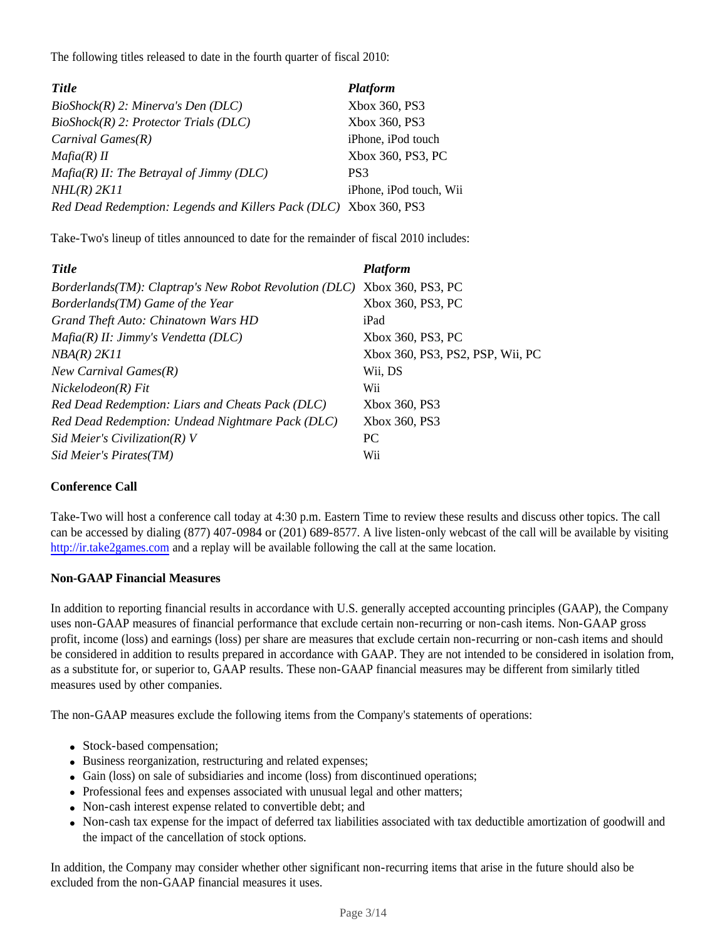The following titles released to date in the fourth quarter of fiscal 2010:

| <b>Title</b>                                                      | <b>Platform</b>         |
|-------------------------------------------------------------------|-------------------------|
| BioShock(R) 2: Minerva's Den (DLC)                                | Xbox 360, PS3           |
| $BioShock(R)$ 2: Protector Trials (DLC)                           | Xbox 360, PS3           |
| Carnival Games $(R)$                                              | iPhone, iPod touch      |
| $Mafia(R)$ II                                                     | Xbox 360, PS3, PC       |
| $Mafia(R)$ II: The Betrayal of Jimmy (DLC)                        | PS3                     |
| $NHL(R)$ $2K11$                                                   | iPhone, iPod touch, Wii |
| Red Dead Redemption: Legends and Killers Pack (DLC) Xbox 360, PS3 |                         |

Take-Two's lineup of titles announced to date for the remainder of fiscal 2010 includes:

| <b>Title</b>                                                             | <b>Platform</b>                  |
|--------------------------------------------------------------------------|----------------------------------|
| Borderlands(TM): Claptrap's New Robot Revolution (DLC) Xbox 360, PS3, PC |                                  |
| Borderlands(TM) Game of the Year                                         | Xbox 360, PS3, PC                |
| Grand Theft Auto: Chinatown Wars HD                                      | iPad                             |
| $Mafia(R)$ II: Jimmy's Vendetta (DLC)                                    | Xbox 360, PS3, PC                |
| $NBA(R)$ 2K11                                                            | Xbox 360, PS3, PS2, PSP, Wii, PC |
| New Carnival Games $(R)$                                                 | Wii, DS                          |
| Nickelodeon(R) Fit                                                       | Wii                              |
| Red Dead Redemption: Liars and Cheats Pack (DLC)                         | Xbox 360, PS3                    |
| Red Dead Redemption: Undead Nightmare Pack (DLC)                         | Xbox 360, PS3                    |
| Sid Meier's Civilization( $R$ ) V                                        | PC.                              |
| Sid Meier's Pirates(TM)                                                  | Wii                              |

## **Conference Call**

Take-Two will host a conference call today at 4:30 p.m. Eastern Time to review these results and discuss other topics. The call can be accessed by dialing (877) 407-0984 or (201) 689-8577. A live listen-only webcast of the call will be available by visiting http://ir.take2games.com and a replay will be available following the call at the same location.

#### **Non-GAAP Financial Measures**

In addition to reporting financial results in accordance with U.S. generally accepted accounting principles (GAAP), the Company uses non-GAAP measures of financial performance that exclude certain non-recurring or non-cash items. Non-GAAP gross profit, income (loss) and earnings (loss) per share are measures that exclude certain non-recurring or non-cash items and should be considered in addition to results prepared in accordance with GAAP. They are not intended to be considered in isolation from, as a substitute for, or superior to, GAAP results. These non-GAAP financial measures may be different from similarly titled measures used by other companies.

The non-GAAP measures exclude the following items from the Company's statements of operations:

- Stock-based compensation;
- Business reorganization, restructuring and related expenses;
- Gain (loss) on sale of subsidiaries and income (loss) from discontinued operations;
- Professional fees and expenses associated with unusual legal and other matters;
- Non-cash interest expense related to convertible debt; and
- Non-cash tax expense for the impact of deferred tax liabilities associated with tax deductible amortization of goodwill and the impact of the cancellation of stock options.

In addition, the Company may consider whether other significant non-recurring items that arise in the future should also be excluded from the non-GAAP financial measures it uses.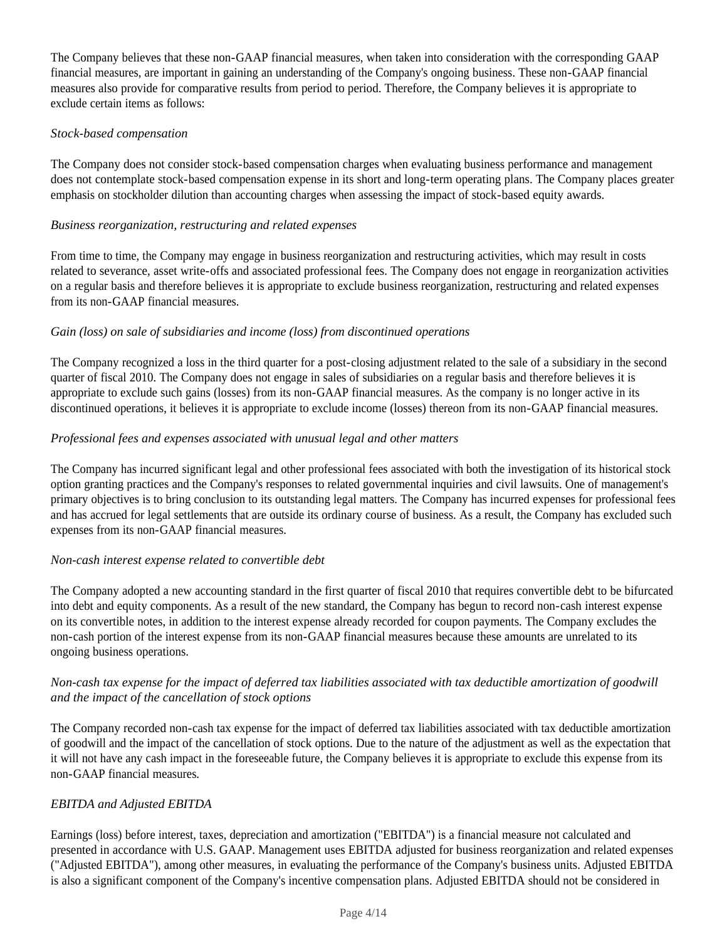The Company believes that these non-GAAP financial measures, when taken into consideration with the corresponding GAAP financial measures, are important in gaining an understanding of the Company's ongoing business. These non-GAAP financial measures also provide for comparative results from period to period. Therefore, the Company believes it is appropriate to exclude certain items as follows:

### *Stock-based compensation*

The Company does not consider stock-based compensation charges when evaluating business performance and management does not contemplate stock-based compensation expense in its short and long-term operating plans. The Company places greater emphasis on stockholder dilution than accounting charges when assessing the impact of stock-based equity awards.

#### *Business reorganization, restructuring and related expenses*

From time to time, the Company may engage in business reorganization and restructuring activities, which may result in costs related to severance, asset write-offs and associated professional fees. The Company does not engage in reorganization activities on a regular basis and therefore believes it is appropriate to exclude business reorganization, restructuring and related expenses from its non-GAAP financial measures.

### *Gain (loss) on sale of subsidiaries and income (loss) from discontinued operations*

The Company recognized a loss in the third quarter for a post-closing adjustment related to the sale of a subsidiary in the second quarter of fiscal 2010. The Company does not engage in sales of subsidiaries on a regular basis and therefore believes it is appropriate to exclude such gains (losses) from its non-GAAP financial measures. As the company is no longer active in its discontinued operations, it believes it is appropriate to exclude income (losses) thereon from its non-GAAP financial measures.

### *Professional fees and expenses associated with unusual legal and other matters*

The Company has incurred significant legal and other professional fees associated with both the investigation of its historical stock option granting practices and the Company's responses to related governmental inquiries and civil lawsuits. One of management's primary objectives is to bring conclusion to its outstanding legal matters. The Company has incurred expenses for professional fees and has accrued for legal settlements that are outside its ordinary course of business. As a result, the Company has excluded such expenses from its non-GAAP financial measures.

#### *Non-cash interest expense related to convertible debt*

The Company adopted a new accounting standard in the first quarter of fiscal 2010 that requires convertible debt to be bifurcated into debt and equity components. As a result of the new standard, the Company has begun to record non-cash interest expense on its convertible notes, in addition to the interest expense already recorded for coupon payments. The Company excludes the non-cash portion of the interest expense from its non-GAAP financial measures because these amounts are unrelated to its ongoing business operations.

## *Non-cash tax expense for the impact of deferred tax liabilities associated with tax deductible amortization of goodwill and the impact of the cancellation of stock options*

The Company recorded non-cash tax expense for the impact of deferred tax liabilities associated with tax deductible amortization of goodwill and the impact of the cancellation of stock options. Due to the nature of the adjustment as well as the expectation that it will not have any cash impact in the foreseeable future, the Company believes it is appropriate to exclude this expense from its non-GAAP financial measures*.*

## *EBITDA and Adjusted EBITDA*

Earnings (loss) before interest, taxes, depreciation and amortization ("EBITDA") is a financial measure not calculated and presented in accordance with U.S. GAAP. Management uses EBITDA adjusted for business reorganization and related expenses ("Adjusted EBITDA"), among other measures, in evaluating the performance of the Company's business units. Adjusted EBITDA is also a significant component of the Company's incentive compensation plans. Adjusted EBITDA should not be considered in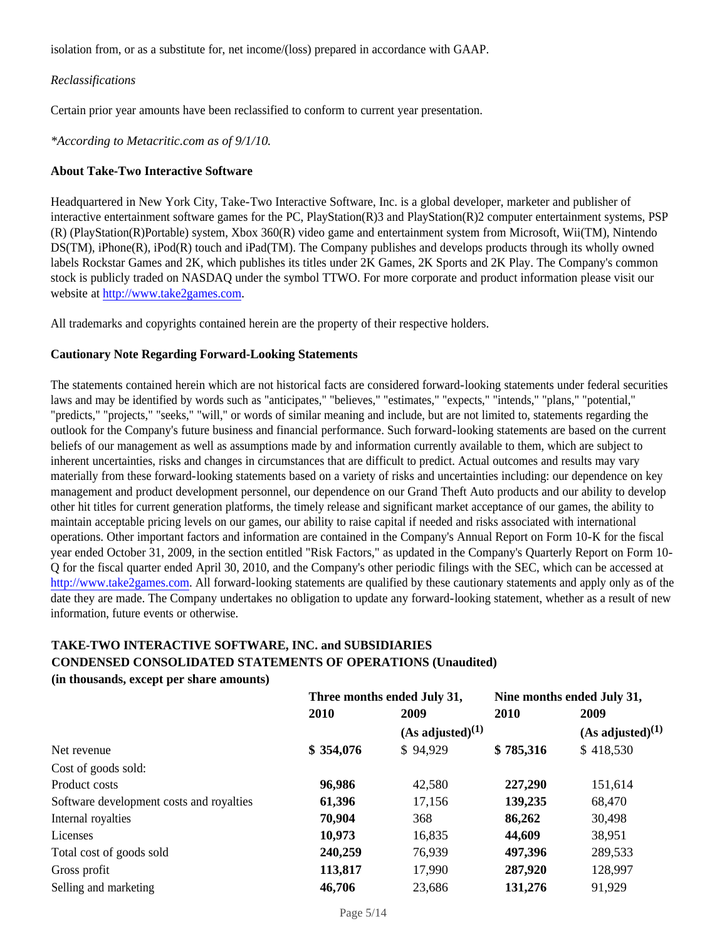isolation from, or as a substitute for, net income/(loss) prepared in accordance with GAAP.

#### *Reclassifications*

Certain prior year amounts have been reclassified to conform to current year presentation.

*\*According to Metacritic.com as of 9/1/10.*

#### **About Take-Two Interactive Software**

Headquartered in New York City, Take-Two Interactive Software, Inc. is a global developer, marketer and publisher of interactive entertainment software games for the PC, PlayStation(R)3 and PlayStation(R)2 computer entertainment systems, PSP (R) (PlayStation(R)Portable) system, Xbox 360(R) video game and entertainment system from Microsoft, Wii(TM), Nintendo DS(TM), iPhone(R), iPod(R) touch and iPad(TM). The Company publishes and develops products through its wholly owned labels Rockstar Games and 2K, which publishes its titles under 2K Games, 2K Sports and 2K Play. The Company's common stock is publicly traded on NASDAQ under the symbol TTWO. For more corporate and product information please visit our website at http://www.take2games.com.

All trademarks and copyrights contained herein are the property of their respective holders.

#### **Cautionary Note Regarding Forward-Looking Statements**

The statements contained herein which are not historical facts are considered forward-looking statements under federal securities laws and may be identified by words such as "anticipates," "believes," "estimates," "expects," "intends," "plans," "potential," "predicts," "projects," "seeks," "will," or words of similar meaning and include, but are not limited to, statements regarding the outlook for the Company's future business and financial performance. Such forward-looking statements are based on the current beliefs of our management as well as assumptions made by and information currently available to them, which are subject to inherent uncertainties, risks and changes in circumstances that are difficult to predict. Actual outcomes and results may vary materially from these forward-looking statements based on a variety of risks and uncertainties including: our dependence on key management and product development personnel, our dependence on our Grand Theft Auto products and our ability to develop other hit titles for current generation platforms, the timely release and significant market acceptance of our games, the ability to maintain acceptable pricing levels on our games, our ability to raise capital if needed and risks associated with international operations. Other important factors and information are contained in the Company's Annual Report on Form 10-K for the fiscal year ended October 31, 2009, in the section entitled "Risk Factors," as updated in the Company's Quarterly Report on Form 10- Q for the fiscal quarter ended April 30, 2010, and the Company's other periodic filings with the SEC, which can be accessed at http://www.take2games.com. All forward-looking statements are qualified by these cautionary statements and apply only as of the date they are made. The Company undertakes no obligation to update any forward-looking statement, whether as a result of new information, future events or otherwise.

# **TAKE-TWO INTERACTIVE SOFTWARE, INC. and SUBSIDIARIES CONDENSED CONSOLIDATED STATEMENTS OF OPERATIONS (Unaudited)**

### **(in thousands, except per share amounts)**

|                                          |           | Three months ended July 31, |           | Nine months ended July 31, |
|------------------------------------------|-----------|-----------------------------|-----------|----------------------------|
|                                          | 2010      | 2009                        | 2010      | 2009                       |
|                                          |           | $(As adjusted)^{(1)}$       |           | $(As adjusted)^{(1)}$      |
| Net revenue                              | \$354,076 | \$94,929                    | \$785,316 | \$418,530                  |
| Cost of goods sold:                      |           |                             |           |                            |
| Product costs                            | 96,986    | 42,580                      | 227,290   | 151,614                    |
| Software development costs and royalties | 61,396    | 17,156                      | 139,235   | 68,470                     |
| Internal royalties                       | 70,904    | 368                         | 86,262    | 30,498                     |
| Licenses                                 | 10,973    | 16,835                      | 44,609    | 38,951                     |
| Total cost of goods sold                 | 240,259   | 76,939                      | 497,396   | 289,533                    |
| Gross profit                             | 113,817   | 17,990                      | 287,920   | 128,997                    |
| Selling and marketing                    | 46,706    | 23,686                      | 131,276   | 91,929                     |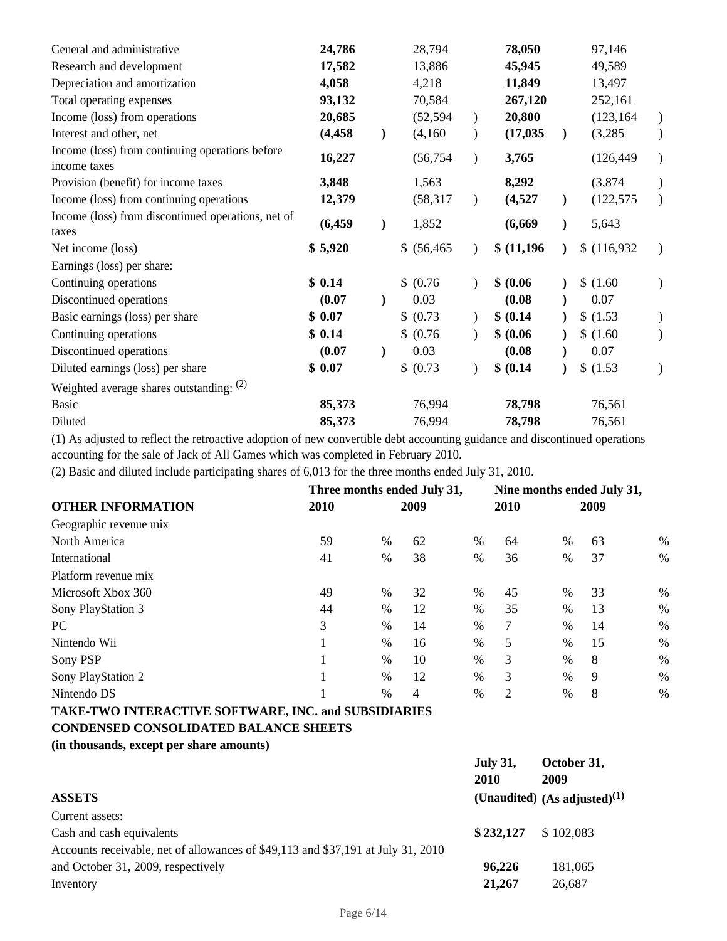| General and administrative                                      | 24,786   |               | 28,794      | 78,050     | 97,146      |           |
|-----------------------------------------------------------------|----------|---------------|-------------|------------|-------------|-----------|
| Research and development                                        | 17,582   |               | 13,886      | 45,945     | 49,589      |           |
|                                                                 |          |               |             |            |             |           |
| Depreciation and amortization                                   | 4,058    |               | 4,218       | 11,849     | 13,497      |           |
| Total operating expenses                                        | 93,132   |               | 70,584      | 267,120    | 252,161     |           |
| Income (loss) from operations                                   | 20,685   |               | (52, 594)   | 20,800     | (123, 164)  |           |
| Interest and other, net                                         | (4, 458) | $\lambda$     | (4,160)     | (17, 035)  | (3,285)     |           |
| Income (loss) from continuing operations before<br>income taxes | 16,227   |               | (56, 754)   | 3,765      | (126, 449)  | $\lambda$ |
| Provision (benefit) for income taxes                            | 3,848    |               | 1,563       | 8,292      | (3,874)     |           |
| Income (loss) from continuing operations                        | 12,379   |               | (58, 317)   | (4, 527)   | (122, 575)  |           |
| Income (loss) from discontinued operations, net of              | (6, 459) | $\mathcal{E}$ | 1,852       | (6,669)    | 5,643       |           |
| taxes                                                           |          |               |             |            |             |           |
| Net income (loss)                                               | \$5,920  |               | \$ (56,465) | \$(11,196) | \$(116,932) | $\lambda$ |
| Earnings (loss) per share:                                      |          |               |             |            |             |           |
| Continuing operations                                           | \$0.14   |               | \$ (0.76)   | \$ (0.06)  | \$(1.60)    |           |
| Discontinued operations                                         | (0.07)   | $\lambda$     | 0.03        | (0.08)     | 0.07        |           |
| Basic earnings (loss) per share                                 | \$0.07   |               | \$ (0.73)   | \$ (0.14)  | \$(1.53)    |           |
| Continuing operations                                           | \$0.14   |               | \$ (0.76)   | \$ (0.06)  | \$(1.60)    |           |
| Discontinued operations                                         | (0.07)   | $\lambda$     | 0.03        | (0.08)     | 0.07        |           |
| Diluted earnings (loss) per share                               | \$0.07   |               | \$ (0.73)   | \$ (0.14)  | \$(1.53)    |           |
| Weighted average shares outstanding: $(2)$                      |          |               |             |            |             |           |
| Basic                                                           | 85,373   |               | 76,994      | 78,798     | 76,561      |           |
| Diluted                                                         | 85,373   |               | 76,994      | 78,798     | 76,561      |           |

(1) As adjusted to reflect the retroactive adoption of new convertible debt accounting guidance and discontinued operations accounting for the sale of Jack of All Games which was completed in February 2010.

(2) Basic and diluted include participating shares of 6,013 for the three months ended July 31, 2010.

|                          | Three months ended July 31, |               | Nine months ended July 31, |      |      |      |    |               |
|--------------------------|-----------------------------|---------------|----------------------------|------|------|------|----|---------------|
| <b>OTHER INFORMATION</b> | 2010                        | 2009          |                            |      | 2010 | 2009 |    |               |
| Geographic revenue mix   |                             |               |                            |      |      |      |    |               |
| North America            | 59                          | $\%$          | 62                         | %    | 64   | $\%$ | 63 | %             |
| International            | 41                          | %             | 38                         | $\%$ | 36   | %    | 37 | $\%$          |
| Platform revenue mix     |                             |               |                            |      |      |      |    |               |
| Microsoft Xbox 360       | 49                          | $\%$          | 32                         | $\%$ | 45   | %    | 33 | %             |
| Sony PlayStation 3       | 44                          | %             | 12                         | $\%$ | 35   | %    | 13 | $\%$          |
| PC.                      | 3                           | $\%$          | 14                         | $\%$ | 7    | %    | 14 | $\%$          |
| Nintendo Wii             |                             | %             | 16                         | $\%$ | 5    | %    | 15 | $\%$          |
| Sony PSP                 |                             | $\frac{0}{0}$ | 10                         | $\%$ | 3    | %    | 8  | %             |
| Sony PlayStation 2       |                             | $\frac{0}{0}$ | 12                         | %    | 3    | %    | 9  | $\frac{0}{0}$ |
| Nintendo DS              |                             | %             | 4                          | $\%$ |      | %    | 8  | $\frac{0}{0}$ |

**TAKE-TWO INTERACTIVE SOFTWARE, INC. and SUBSIDIARIES**

# **CONDENSED CONSOLIDATED BALANCE SHEETS**

## **(in thousands, except per share amounts)**

|                                                                                  | <b>July 31,</b><br>2010 | October 31,<br>2009               |
|----------------------------------------------------------------------------------|-------------------------|-----------------------------------|
| <b>ASSETS</b>                                                                    |                         | (Unaudited) $(As adjusted)^{(1)}$ |
| Current assets:                                                                  |                         |                                   |
| Cash and cash equivalents                                                        | \$232,127               | \$102,083                         |
| Accounts receivable, net of allowances of \$49,113 and \$37,191 at July 31, 2010 |                         |                                   |
| and October 31, 2009, respectively                                               | 96,226                  | 181,065                           |
| Inventory                                                                        | 21,267                  | 26,687                            |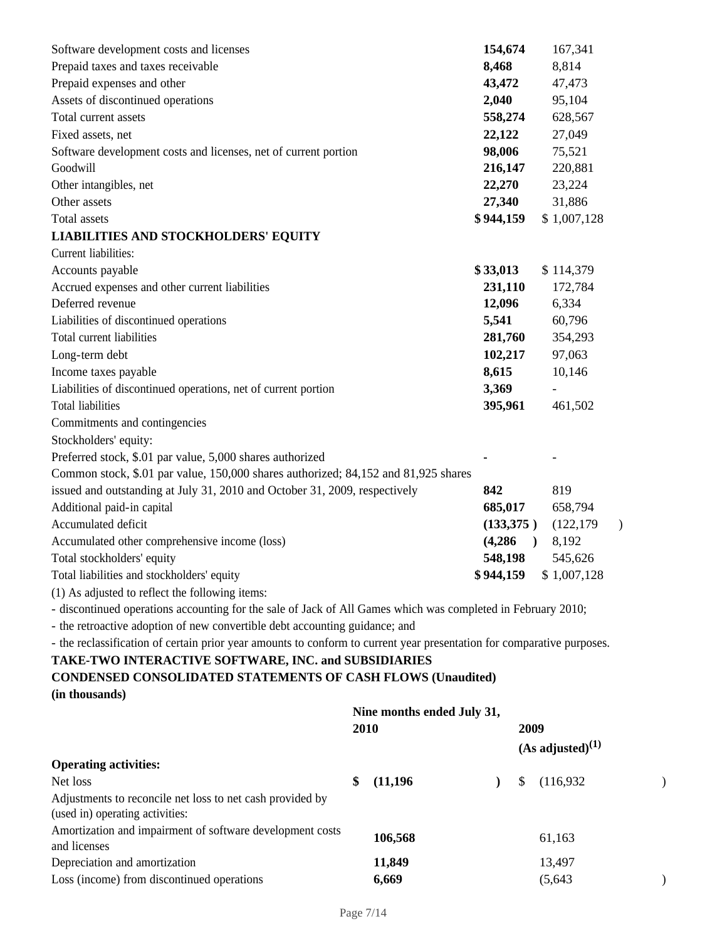| Software development costs and licenses                                                                                |                            | 154,674               | 167,341                     |
|------------------------------------------------------------------------------------------------------------------------|----------------------------|-----------------------|-----------------------------|
| Prepaid taxes and taxes receivable                                                                                     |                            | 8,468                 | 8,814                       |
| Prepaid expenses and other                                                                                             |                            | 43,472                | 47,473                      |
| Assets of discontinued operations                                                                                      |                            | 2,040                 | 95,104                      |
| Total current assets                                                                                                   |                            | 558,274               | 628,567                     |
| Fixed assets, net                                                                                                      |                            | 22,122                | 27,049                      |
| Software development costs and licenses, net of current portion                                                        |                            | 98,006                | 75,521                      |
| Goodwill                                                                                                               |                            | 216,147               | 220,881                     |
| Other intangibles, net                                                                                                 |                            | 22,270                | 23,224                      |
| Other assets                                                                                                           |                            | 27,340                | 31,886                      |
| Total assets                                                                                                           |                            | \$944,159             | \$1,007,128                 |
| <b>LIABILITIES AND STOCKHOLDERS' EQUITY</b>                                                                            |                            |                       |                             |
| Current liabilities:                                                                                                   |                            |                       |                             |
| Accounts payable                                                                                                       |                            | \$33,013              | \$114,379                   |
| Accrued expenses and other current liabilities                                                                         |                            | 231,110               | 172,784                     |
| Deferred revenue                                                                                                       |                            | 12,096                | 6,334                       |
| Liabilities of discontinued operations                                                                                 |                            | 5,541                 | 60,796                      |
| Total current liabilities                                                                                              |                            | 281,760               | 354,293                     |
| Long-term debt                                                                                                         |                            | 102,217               | 97,063                      |
| Income taxes payable                                                                                                   |                            | 8,615                 | 10,146                      |
| Liabilities of discontinued operations, net of current portion                                                         |                            | 3,369                 |                             |
| <b>Total liabilities</b>                                                                                               |                            | 395,961               | 461,502                     |
| Commitments and contingencies                                                                                          |                            |                       |                             |
| Stockholders' equity:                                                                                                  |                            |                       |                             |
| Preferred stock, \$.01 par value, 5,000 shares authorized                                                              |                            |                       |                             |
| Common stock, \$.01 par value, 150,000 shares authorized; 84,152 and 81,925 shares                                     |                            |                       |                             |
| issued and outstanding at July 31, 2010 and October 31, 2009, respectively                                             |                            | 842                   | 819                         |
| Additional paid-in capital                                                                                             |                            | 685,017               | 658,794                     |
| Accumulated deficit                                                                                                    |                            | (133,375)             | (122, 179)<br>$\mathcal{L}$ |
| Accumulated other comprehensive income (loss)                                                                          |                            | (4,286)               | 8,192                       |
| Total stockholders' equity                                                                                             |                            | 548,198               | 545,626                     |
| Total liabilities and stockholders' equity                                                                             |                            | \$944,159 \$1,007,128 |                             |
| (1) As adjusted to reflect the following items:                                                                        |                            |                       |                             |
| - discontinued operations accounting for the sale of Jack of All Games which was completed in February 2010;           |                            |                       |                             |
| - the retroactive adoption of new convertible debt accounting guidance; and                                            |                            |                       |                             |
| - the reclassification of certain prior year amounts to conform to current year presentation for comparative purposes. |                            |                       |                             |
| TAKE-TWO INTERACTIVE SOFTWARE, INC. and SUBSIDIARIES                                                                   |                            |                       |                             |
| <b>CONDENSED CONSOLIDATED STATEMENTS OF CASH FLOWS (Unaudited)</b>                                                     |                            |                       |                             |
| (in thousands)                                                                                                         |                            |                       |                             |
|                                                                                                                        | Nine months ended July 31, |                       |                             |
|                                                                                                                        | 2010                       | 2009                  |                             |

|                                                                                              | 2010 |          |   | 2009<br>$(As adjusted)^{(1)}$ |  |
|----------------------------------------------------------------------------------------------|------|----------|---|-------------------------------|--|
| <b>Operating activities:</b>                                                                 |      |          |   |                               |  |
| Net loss                                                                                     | S    | (11,196) | S | (116.932)                     |  |
| Adjustments to reconcile net loss to net cash provided by<br>(used in) operating activities: |      |          |   |                               |  |
| Amortization and impairment of software development costs<br>and licenses                    |      | 106,568  |   | 61,163                        |  |
| Depreciation and amortization                                                                |      | 11,849   |   | 13,497                        |  |
| Loss (income) from discontinued operations                                                   |      | 6,669    |   | (5,643)                       |  |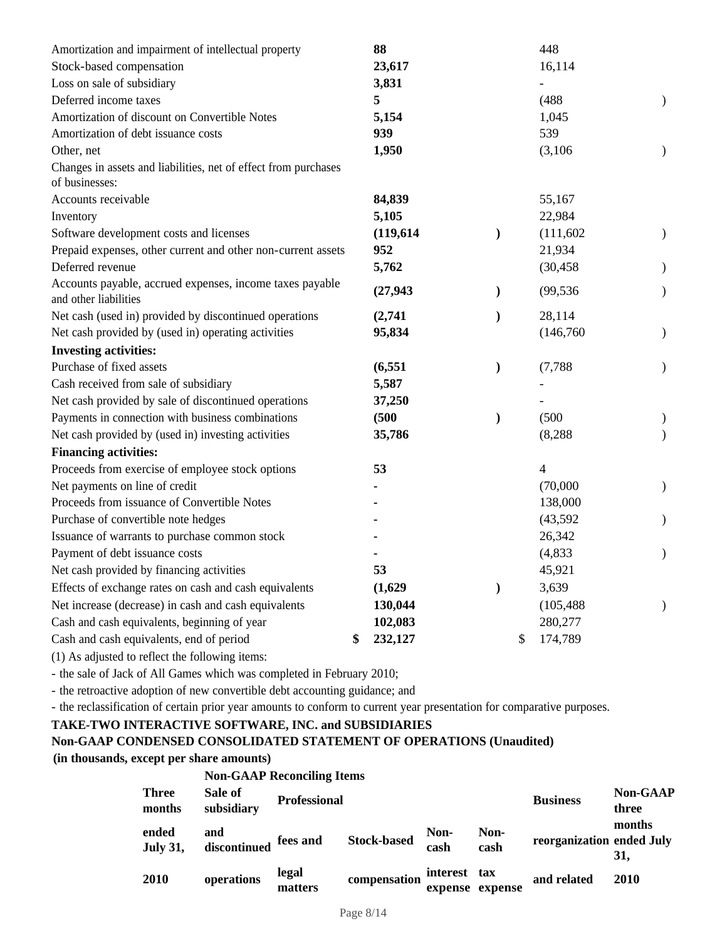| Amortization and impairment of intellectual property                              | 88            |               | 448            |                             |
|-----------------------------------------------------------------------------------|---------------|---------------|----------------|-----------------------------|
| Stock-based compensation                                                          | 23,617        |               | 16,114         |                             |
| Loss on sale of subsidiary                                                        | 3,831         |               |                |                             |
| Deferred income taxes                                                             | 5             |               | (488)          | $\mathcal{E}$               |
| Amortization of discount on Convertible Notes                                     | 5,154         |               | 1,045          |                             |
| Amortization of debt issuance costs                                               | 939           |               | 539            |                             |
| Other, net                                                                        | 1,950         |               | (3,106)        | $\mathcal{C}^{\mathcal{C}}$ |
| Changes in assets and liabilities, net of effect from purchases<br>of businesses: |               |               |                |                             |
| Accounts receivable                                                               | 84,839        |               | 55,167         |                             |
| Inventory                                                                         | 5,105         |               | 22,984         |                             |
| Software development costs and licenses                                           | (119, 614)    | $\mathcal{E}$ | (111,602)      | $\mathcal{E}$               |
| Prepaid expenses, other current and other non-current assets                      | 952           |               | 21,934         |                             |
| Deferred revenue                                                                  | 5,762         |               | (30, 458)      | $\mathcal{E}$               |
| Accounts payable, accrued expenses, income taxes payable<br>and other liabilities | (27, 943)     | $\mathcal{E}$ | (99, 536)      | )                           |
| Net cash (used in) provided by discontinued operations                            | (2,741)       | $\mathcal{)}$ | 28,114         |                             |
| Net cash provided by (used in) operating activities                               | 95,834        |               | (146,760)      | $\mathcal{E}$               |
| <b>Investing activities:</b>                                                      |               |               |                |                             |
| Purchase of fixed assets                                                          | (6, 551)      | $\mathcal{E}$ | (7,788)        | $\mathcal{E}$               |
| Cash received from sale of subsidiary                                             | 5,587         |               |                |                             |
| Net cash provided by sale of discontinued operations                              | 37,250        |               |                |                             |
| Payments in connection with business combinations                                 | (500)         | $\mathcal{E}$ | (500)          |                             |
| Net cash provided by (used in) investing activities                               | 35,786        |               | (8, 288)       | $\mathcal{E}$               |
| <b>Financing activities:</b>                                                      |               |               |                |                             |
| Proceeds from exercise of employee stock options                                  | 53            |               | $\overline{4}$ |                             |
| Net payments on line of credit                                                    |               |               | (70,000)       | $\mathcal{C}^{\prime}$      |
| Proceeds from issuance of Convertible Notes                                       |               |               | 138,000        |                             |
| Purchase of convertible note hedges                                               |               |               | (43,592)       | $\mathcal{C}^{\mathcal{C}}$ |
| Issuance of warrants to purchase common stock                                     |               |               | 26,342         |                             |
| Payment of debt issuance costs                                                    |               |               | (4,833)        | $\mathcal{E}$               |
| Net cash provided by financing activities                                         | 53            |               | 45,921         |                             |
| Effects of exchange rates on cash and cash equivalents                            | (1,629)       | $\mathcal{E}$ | 3,639          |                             |
| Net increase (decrease) in cash and cash equivalents                              | 130,044       |               | (105, 488)     | $\mathcal{)}$               |
| Cash and cash equivalents, beginning of year                                      | 102,083       |               | 280,277        |                             |
| Cash and cash equivalents, end of period                                          | \$<br>232,127 |               | \$<br>174,789  |                             |
|                                                                                   |               |               |                |                             |

(1) As adjusted to reflect the following items:

- the sale of Jack of All Games which was completed in February 2010;

- the retroactive adoption of new convertible debt accounting guidance; and

- the reclassification of certain prior year amounts to conform to current year presentation for comparative purposes.

## **TAKE-TWO INTERACTIVE SOFTWARE, INC. and SUBSIDIARIES**

**Non-GAAP CONDENSED CONSOLIDATED STATEMENT OF OPERATIONS (Unaudited)**

**(in thousands, except per share amounts)**

| <b>Non-GAAP Reconciling Items</b> |                       |                     |                    |                     |                |                           |                          |  |
|-----------------------------------|-----------------------|---------------------|--------------------|---------------------|----------------|---------------------------|--------------------------|--|
| <b>Three</b><br>months            | Sale of<br>subsidiary | <b>Professional</b> |                    |                     |                | <b>Business</b>           | <b>Non-GAAP</b><br>three |  |
| ended<br><b>July 31,</b>          | and<br>discontinued   | fees and            | <b>Stock-based</b> | Non-<br>cash        | Non-<br>cash   | reorganization ended July | months<br>31,            |  |
| 2010                              | operations            | legal<br>matters    | compensation       | interest<br>expense | tax<br>expense | and related               | 2010                     |  |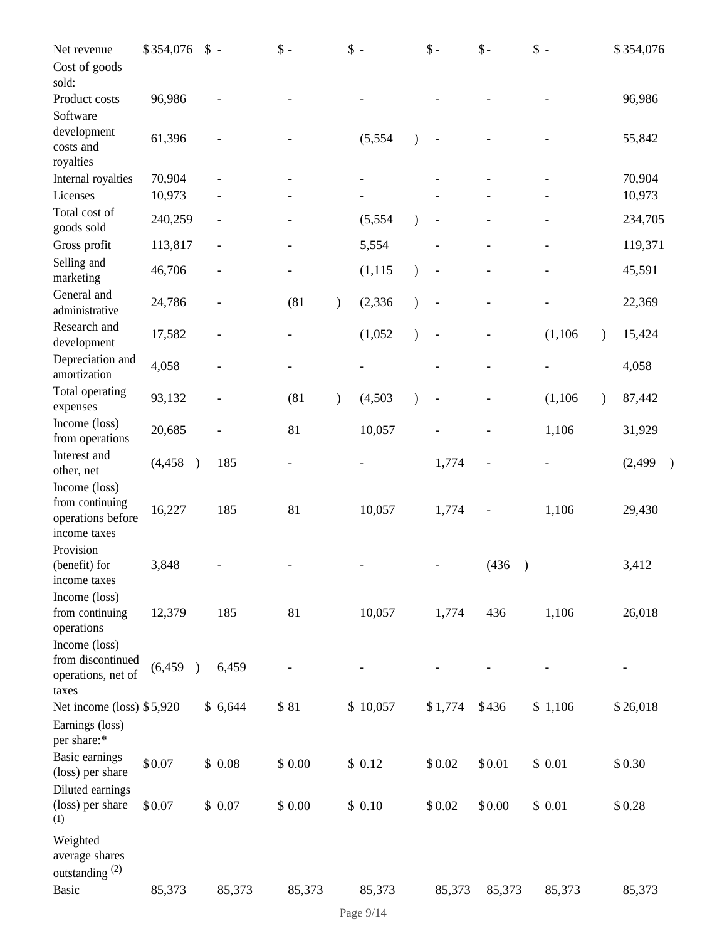| Net revenue                                                           | \$354,076        | $\mathsf{\$}$ - |                   | $\hat{\mathcal{S}}$ - |               | $\mathsf S$ - |               | $\mathsf{\$}$ -              | $\$ -  |               | $\mathsf{\$}$ - |           | \$354,076           |
|-----------------------------------------------------------------------|------------------|-----------------|-------------------|-----------------------|---------------|---------------|---------------|------------------------------|--------|---------------|-----------------|-----------|---------------------|
| Cost of goods<br>sold:                                                |                  |                 |                   |                       |               |               |               |                              |        |               |                 |           |                     |
| Product costs<br>Software                                             | 96,986           |                 |                   |                       |               |               |               |                              |        |               |                 |           | 96,986              |
| development<br>costs and<br>royalties                                 | 61,396           |                 |                   |                       |               | (5, 554)      |               | $\qquad \qquad \blacksquare$ |        |               |                 |           | 55,842              |
| Internal royalties<br>Licenses                                        | 70,904<br>10,973 |                 |                   |                       |               |               |               |                              |        |               |                 |           | 70,904<br>10,973    |
| Total cost of<br>goods sold                                           | 240,259          |                 |                   |                       |               | (5, 554)      | $\lambda$     |                              |        |               |                 |           | 234,705             |
| Gross profit                                                          | 113,817          |                 | $\qquad \qquad -$ |                       |               | 5,554         |               |                              |        |               |                 |           | 119,371             |
| Selling and<br>marketing                                              | 46,706           |                 |                   |                       |               | (1, 115)      | $\mathcal{E}$ |                              |        |               |                 |           | 45,591              |
| General and<br>administrative                                         | 24,786           |                 |                   | (81)                  | $\mathcal{E}$ | (2, 336)      | $\mathcal{E}$ | $\overline{\phantom{a}}$     |        |               |                 |           | 22,369              |
| Research and<br>development                                           | 17,582           |                 |                   | $\overline{a}$        |               | (1,052)       | $\mathcal{E}$ | $\qquad \qquad \blacksquare$ |        |               | (1, 106)        |           | 15,424              |
| Depreciation and<br>amortization                                      | 4,058            |                 |                   |                       |               |               |               |                              |        |               |                 |           | 4,058               |
| Total operating<br>expenses                                           | 93,132           |                 |                   | (81)                  | $\mathcal{E}$ | (4,503)       | $\lambda$     |                              |        |               | (1, 106)        | $\lambda$ | 87,442              |
| Income (loss)<br>from operations                                      | 20,685           |                 |                   | 81                    |               | 10,057        |               |                              |        |               | 1,106           |           | 31,929              |
| Interest and<br>other, net                                            | (4, 458)         | $\mathcal{E}$   | 185               |                       |               |               |               | 1,774                        |        |               |                 |           | (2, 499)<br>$\big)$ |
| Income (loss)<br>from continuing<br>operations before<br>income taxes | 16,227           |                 | 185               | 81                    |               | 10,057        |               | 1,774                        |        |               | 1,106           |           | 29,430              |
| Provision<br>(benefit) for<br>income taxes                            | 3,848            |                 |                   |                       |               |               |               |                              | (436)  | $\mathcal{E}$ |                 |           | 3,412               |
| Income (loss)<br>from continuing<br>operations                        | 12,379           |                 | 185               | 81                    |               | 10,057        |               | 1,774                        | 436    |               | 1,106           |           | 26,018              |
| Income (loss)<br>from discontinued<br>operations, net of<br>taxes     | (6, 459)         | $\lambda$       | 6,459             |                       |               |               |               |                              |        |               |                 |           |                     |
| Net income (loss) \$5,920<br>Earnings (loss)<br>per share:*           |                  |                 | \$6,644           | \$81                  |               | \$10,057      |               | \$1,774                      | \$436  |               | \$1,106         |           | \$26,018            |
| Basic earnings<br>(loss) per share                                    | \$0.07           |                 | \$0.08            | \$0.00                |               | \$0.12        |               | \$0.02                       | \$0.01 |               | \$ 0.01         |           | \$0.30              |
| Diluted earnings<br>(loss) per share<br>(1)                           | \$0.07           |                 | \$0.07            | \$0.00                |               | \$0.10        |               | \$0.02                       | \$0.00 |               | \$0.01          |           | \$0.28              |
| Weighted<br>average shares<br>outstanding <sup>(2)</sup>              |                  |                 |                   |                       |               |               |               |                              |        |               |                 |           |                     |
| <b>Basic</b>                                                          | 85,373           |                 | 85,373            | 85,373                |               | 85,373        |               | 85,373                       | 85,373 |               | 85,373          |           | 85,373              |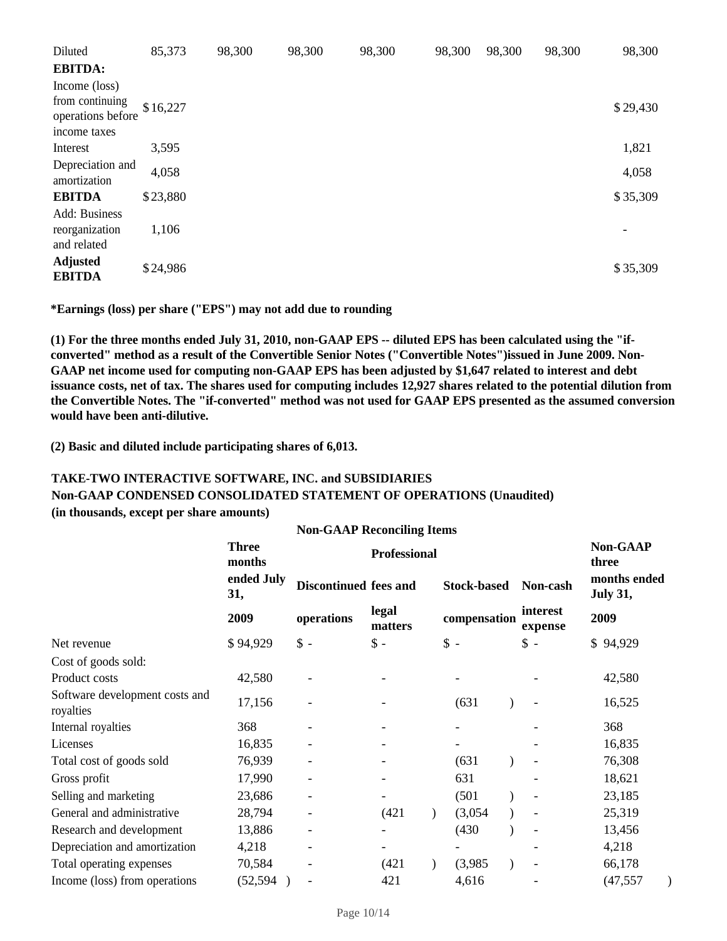| Diluted                                                               | 85,373   | 98,300 | 98,300 | 98,300 | 98,300 | 98,300 | 98,300 | 98,300                   |
|-----------------------------------------------------------------------|----------|--------|--------|--------|--------|--------|--------|--------------------------|
| <b>EBITDA:</b>                                                        |          |        |        |        |        |        |        |                          |
| Income (loss)<br>from continuing<br>operations before<br>income taxes | \$16,227 |        |        |        |        |        |        | \$29,430                 |
| Interest                                                              | 3,595    |        |        |        |        |        |        | 1,821                    |
| Depreciation and<br>amortization                                      | 4,058    |        |        |        |        |        |        | 4,058                    |
| <b>EBITDA</b>                                                         | \$23,880 |        |        |        |        |        |        | \$35,309                 |
| Add: Business<br>reorganization<br>and related                        | 1,106    |        |        |        |        |        |        | $\overline{\phantom{a}}$ |
| <b>Adjusted</b><br><b>EBITDA</b>                                      | \$24,986 |        |        |        |        |        |        | \$35,309                 |

**\*Earnings (loss) per share ("EPS") may not add due to rounding**

**(1) For the three months ended July 31, 2010, non-GAAP EPS -- diluted EPS has been calculated using the "ifconverted" method as a result of the Convertible Senior Notes ("Convertible Notes")issued in June 2009. Non-GAAP net income used for computing non-GAAP EPS has been adjusted by \$1,647 related to interest and debt issuance costs, net of tax. The shares used for computing includes 12,927 shares related to the potential dilution from the Convertible Notes. The "if-converted" method was not used for GAAP EPS presented as the assumed conversion would have been anti-dilutive.**

**(2) Basic and diluted include participating shares of 6,013.**

# **TAKE-TWO INTERACTIVE SOFTWARE, INC. and SUBSIDIARIES Non-GAAP CONDENSED CONSOLIDATED STATEMENT OF OPERATIONS (Unaudited)**

|  | (in thousands, except per share amounts) |  |  |  |  |  |
|--|------------------------------------------|--|--|--|--|--|
|--|------------------------------------------|--|--|--|--|--|

|                                             |                        | <b>Non-GAAP Reconciling Items</b> |                  |                          |                    |  |                          |                                 |  |
|---------------------------------------------|------------------------|-----------------------------------|------------------|--------------------------|--------------------|--|--------------------------|---------------------------------|--|
|                                             | <b>Three</b><br>months |                                   |                  | <b>Non-GAAP</b><br>three |                    |  |                          |                                 |  |
|                                             | ended July<br>31,      | <b>Discontinued fees and</b>      |                  |                          | <b>Stock-based</b> |  | Non-cash                 | months ended<br><b>July 31,</b> |  |
|                                             | 2009                   | operations                        | legal<br>matters |                          | compensation       |  | interest<br>expense      | 2009                            |  |
| Net revenue                                 | \$94,929               | $\mathsf{\$}$ -                   | $\mathsf{\$}$ -  |                          | $\uparrow$ -       |  | $\mathsf{\$}$ -          | \$94,929                        |  |
| Cost of goods sold:                         |                        |                                   |                  |                          |                    |  |                          |                                 |  |
| Product costs                               | 42,580                 |                                   |                  |                          |                    |  |                          | 42,580                          |  |
| Software development costs and<br>royalties | 17,156                 |                                   |                  |                          | (631)              |  |                          | 16,525                          |  |
| Internal royalties                          | 368                    |                                   |                  |                          |                    |  |                          | 368                             |  |
| Licenses                                    | 16,835                 |                                   |                  |                          |                    |  |                          | 16,835                          |  |
| Total cost of goods sold                    | 76,939                 | $\overline{\phantom{a}}$          |                  |                          | (631)              |  | $\overline{\phantom{a}}$ | 76,308                          |  |
| Gross profit                                | 17,990                 | $\overline{\phantom{0}}$          |                  |                          | 631                |  |                          | 18,621                          |  |
| Selling and marketing                       | 23,686                 | $\overline{\phantom{a}}$          |                  |                          | (501)              |  | $\overline{\phantom{0}}$ | 23,185                          |  |
| General and administrative                  | 28,794                 |                                   | (421)            |                          | (3,054)            |  |                          | 25,319                          |  |
| Research and development                    | 13,886                 |                                   |                  |                          | (430)              |  |                          | 13,456                          |  |
| Depreciation and amortization               | 4,218                  |                                   |                  |                          |                    |  |                          | 4,218                           |  |
| Total operating expenses                    | 70,584                 |                                   | (421)            |                          | (3,985)            |  | $\qquad \qquad -$        | 66,178                          |  |
| Income (loss) from operations               | (52, 594)              | $\overline{\phantom{a}}$          | 421              |                          | 4,616              |  |                          | (47, 557)                       |  |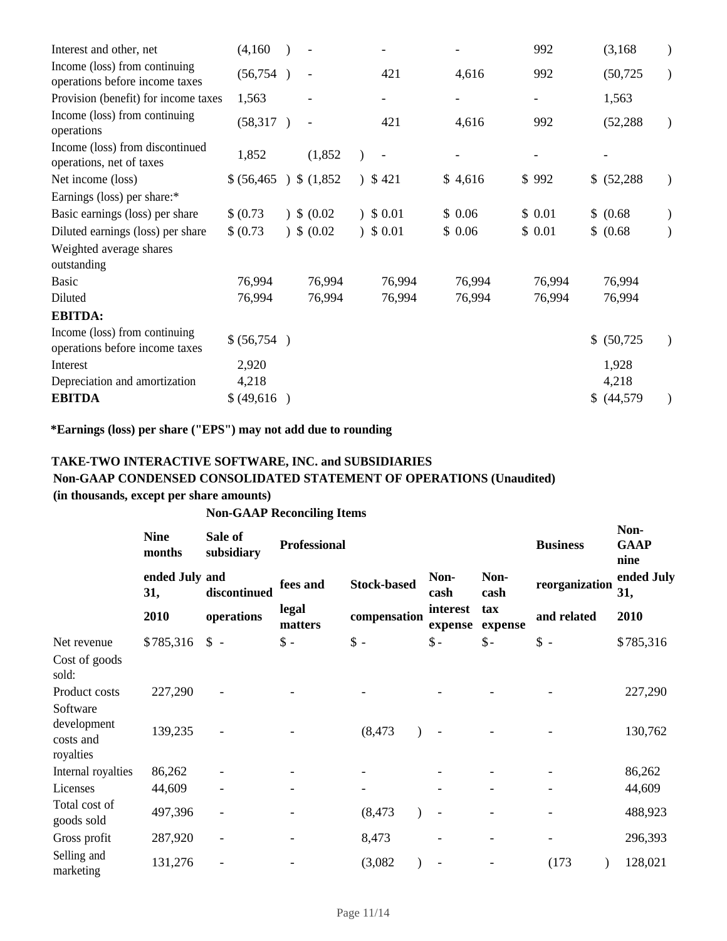| Interest and other, net                                         | (4,160)      |               |                 |               |             |         | 992    | (3,168)     |               |
|-----------------------------------------------------------------|--------------|---------------|-----------------|---------------|-------------|---------|--------|-------------|---------------|
| Income (loss) from continuing<br>operations before income taxes | (56, 754)    |               |                 |               | 421         | 4,616   | 992    | (50, 725)   | $\mathcal{E}$ |
| Provision (benefit) for income taxes                            | 1,563        |               |                 |               |             |         |        | 1,563       |               |
| Income (loss) from continuing<br>operations                     | (58, 317)    |               |                 |               | 421         | 4,616   | 992    | (52, 288)   |               |
| Income (loss) from discontinued<br>operations, net of taxes     | 1,852        |               | (1,852)         |               |             |         |        |             |               |
| Net income (loss)                                               | \$ (56, 465) |               | \$(1,852)       | $\mathcal{L}$ | \$421       | \$4,616 | \$992  | \$ (52,288) | $\lambda$     |
| Earnings (loss) per share:*                                     |              |               |                 |               |             |         |        |             |               |
| Basic earnings (loss) per share                                 | \$ (0.73)    |               | $)$ \$ $(0.02)$ |               | 3.601       | \$0.06  | \$0.01 | \$ (0.68)   |               |
| Diluted earnings (loss) per share                               | \$ (0.73)    |               | $)$ \$ $(0.02)$ |               | $)$ \$ 0.01 | \$0.06  | \$0.01 | \$ (0.68)   |               |
| Weighted average shares<br>outstanding                          |              |               |                 |               |             |         |        |             |               |
| <b>Basic</b>                                                    | 76,994       |               | 76,994          |               | 76,994      | 76,994  | 76,994 | 76,994      |               |
| Diluted                                                         | 76,994       |               | 76,994          |               | 76,994      | 76,994  | 76,994 | 76,994      |               |
| <b>EBITDA:</b>                                                  |              |               |                 |               |             |         |        |             |               |
| Income (loss) from continuing<br>operations before income taxes | \$ (56,754)  |               |                 |               |             |         |        | \$ (50,725) |               |
| Interest                                                        | 2,920        |               |                 |               |             |         |        | 1,928       |               |
| Depreciation and amortization                                   | 4,218        |               |                 |               |             |         |        | 4,218       |               |
| <b>EBITDA</b>                                                   | \$ (49,616)  | $\rightarrow$ |                 |               |             |         |        | \$ (44,579) |               |
|                                                                 |              |               |                 |               |             |         |        |             |               |

**\*Earnings (loss) per share ("EPS") may not add due to rounding**

## **TAKE-TWO INTERACTIVE SOFTWARE, INC. and SUBSIDIARIES Non-GAAP CONDENSED CONSOLIDATED STATEMENT OF OPERATIONS (Unaudited) (in thousands, except per share amounts)**

**Non-GAAP Reconciling Items**

|                                       | <b>Nine</b><br>months | Sale of<br>subsidiary    | <b>Professional</b> |                    |                          |                          | <b>Business</b>          | Non-<br><b>GAAP</b><br>nine |
|---------------------------------------|-----------------------|--------------------------|---------------------|--------------------|--------------------------|--------------------------|--------------------------|-----------------------------|
|                                       | ended July and<br>31, | discontinued             | fees and            | <b>Stock-based</b> | Non-<br>cash             | Non-<br>cash             | reorganization           | ended July<br>31,           |
|                                       | 2010                  | operations               | legal<br>matters    | compensation       | interest<br>expense      | tax<br>expense           | and related              | 2010                        |
| Net revenue                           | \$785,316             | $\mathbb{S}$ -           | $\mathsf{\$}$ -     | $\$\;$             | $\$ -                    | $\mathsf{\$}$ -          | $\frac{1}{2}$ -          | \$785,316                   |
| Cost of goods<br>sold:                |                       |                          |                     |                    |                          |                          |                          |                             |
| Product costs                         | 227,290               |                          |                     |                    |                          |                          |                          | 227,290                     |
| Software                              |                       |                          |                     |                    |                          |                          |                          |                             |
| development<br>costs and<br>royalties | 139,235               | $\overline{\phantom{0}}$ |                     | (8, 473)           | $\overline{\phantom{a}}$ |                          |                          | 130,762                     |
| Internal royalties                    | 86,262                |                          |                     |                    |                          |                          |                          | 86,262                      |
| Licenses                              | 44,609                |                          |                     |                    |                          | $\overline{\phantom{a}}$ |                          | 44,609                      |
| Total cost of<br>goods sold           | 497,396               | $\overline{\phantom{a}}$ |                     | (8, 473)           | $\overline{\phantom{a}}$ |                          |                          | 488,923                     |
| Gross profit                          | 287,920               | $\overline{\phantom{a}}$ |                     | 8,473              |                          | $\overline{\phantom{a}}$ | $\overline{\phantom{a}}$ | 296,393                     |
| Selling and<br>marketing              | 131,276               |                          |                     | (3,082)            | $\overline{\phantom{a}}$ |                          | (173)                    | 128,021                     |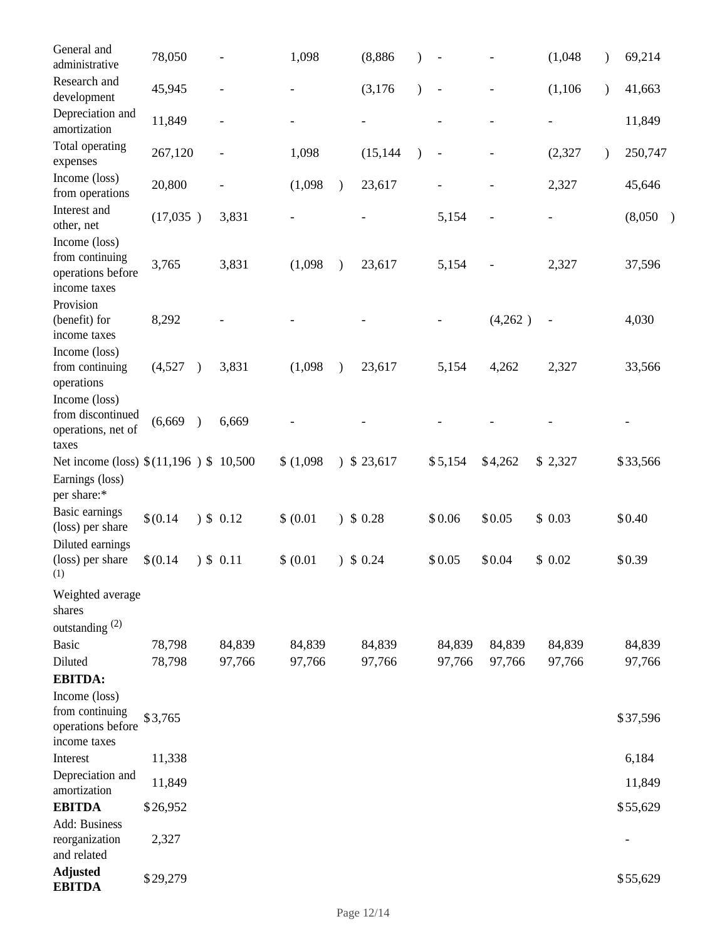| General and<br>administrative                                           | 78,050            |           |                  | 1,098            |               | (8,886)          |               |                  |                  | (1,048)                  | $\lambda$     | 69,214                     |  |
|-------------------------------------------------------------------------|-------------------|-----------|------------------|------------------|---------------|------------------|---------------|------------------|------------------|--------------------------|---------------|----------------------------|--|
| Research and<br>development                                             | 45,945            |           |                  |                  |               | (3, 176)         | $\mathcal{E}$ | $\overline{a}$   |                  | (1,106)                  | $\mathcal{E}$ | 41,663                     |  |
| Depreciation and<br>amortization                                        | 11,849            |           |                  |                  |               |                  |               |                  |                  | $\qquad \qquad -$        |               | 11,849                     |  |
| Total operating<br>expenses                                             | 267,120           |           | $\overline{a}$   | 1,098            |               | (15, 144)        | $\lambda$     | $\overline{a}$   |                  | (2, 327)                 | $\mathcal{E}$ | 250,747                    |  |
| Income (loss)<br>from operations                                        | 20,800            |           |                  | (1,098)          | $\mathcal{E}$ | 23,617           |               |                  |                  | 2,327                    |               | 45,646                     |  |
| Interest and<br>other, net                                              | (17,035)          |           | 3,831            |                  |               |                  |               | 5,154            |                  |                          |               | (8,050)                    |  |
| Income (loss)<br>from continuing<br>operations before<br>income taxes   | 3,765             |           | 3,831            | (1,098)          | $\lambda$     | 23,617           |               | 5,154            |                  | 2,327                    |               | 37,596                     |  |
| Provision<br>(benefit) for<br>income taxes                              | 8,292             |           |                  |                  |               |                  |               |                  | (4,262)          | $\overline{\phantom{m}}$ |               | 4,030                      |  |
| Income (loss)<br>from continuing<br>operations<br>Income (loss)         | (4,527)           | $\lambda$ | 3,831            | (1,098)          | $\lambda$     | 23,617           |               | 5,154            | 4,262            | 2,327                    |               | 33,566                     |  |
| from discontinued<br>operations, net of<br>taxes                        | (6,669)           | $\lambda$ | 6,669            |                  |               |                  |               |                  |                  |                          |               |                            |  |
| Net income (loss) \$(11,196) \$10,500<br>Earnings (loss)<br>per share:* |                   |           |                  | \$(1,098)        |               | 3, 5, 23, 617    |               | \$5,154          | \$4,262          | \$2,327                  |               | \$33,566                   |  |
| Basic earnings<br>(loss) per share<br>Diluted earnings                  | \$(0.14)          |           | $)$ \$ 0.12      | \$ (0.01)        |               | $)$ \$ 0.28      |               | \$0.06           | \$0.05           | \$0.03                   |               | \$0.40                     |  |
| (loss) per share<br>(1)                                                 | \$(0.14)          |           | $)$ \$ 0.11      | \$ (0.01)        |               | $)$ \$ 0.24      |               | \$0.05           | \$0.04           | \$0.02                   |               | \$0.39                     |  |
| Weighted average<br>shares<br>outstanding $(2)$                         |                   |           |                  |                  |               |                  |               |                  |                  |                          |               |                            |  |
| <b>Basic</b><br>Diluted<br><b>EBITDA:</b>                               | 78,798<br>78,798  |           | 84,839<br>97,766 | 84,839<br>97,766 |               | 84,839<br>97,766 |               | 84,839<br>97,766 | 84,839<br>97,766 | 84,839<br>97,766         |               | 84,839<br>97,766           |  |
| Income (loss)<br>from continuing<br>operations before<br>income taxes   | \$3,765           |           |                  |                  |               |                  |               |                  |                  |                          |               | \$37,596                   |  |
| Interest                                                                | 11,338            |           |                  |                  |               |                  |               |                  |                  |                          |               | 6,184                      |  |
| Depreciation and<br>amortization                                        | 11,849            |           |                  |                  |               |                  |               |                  |                  |                          |               | 11,849                     |  |
| <b>EBITDA</b><br>Add: Business<br>reorganization                        | \$26,952<br>2,327 |           |                  |                  |               |                  |               |                  |                  |                          |               | \$55,629<br>$\overline{a}$ |  |
| and related                                                             |                   |           |                  |                  |               |                  |               |                  |                  |                          |               |                            |  |
| <b>Adjusted</b><br><b>EBITDA</b>                                        | \$29,279          |           |                  |                  |               |                  |               |                  |                  |                          |               | \$55,629                   |  |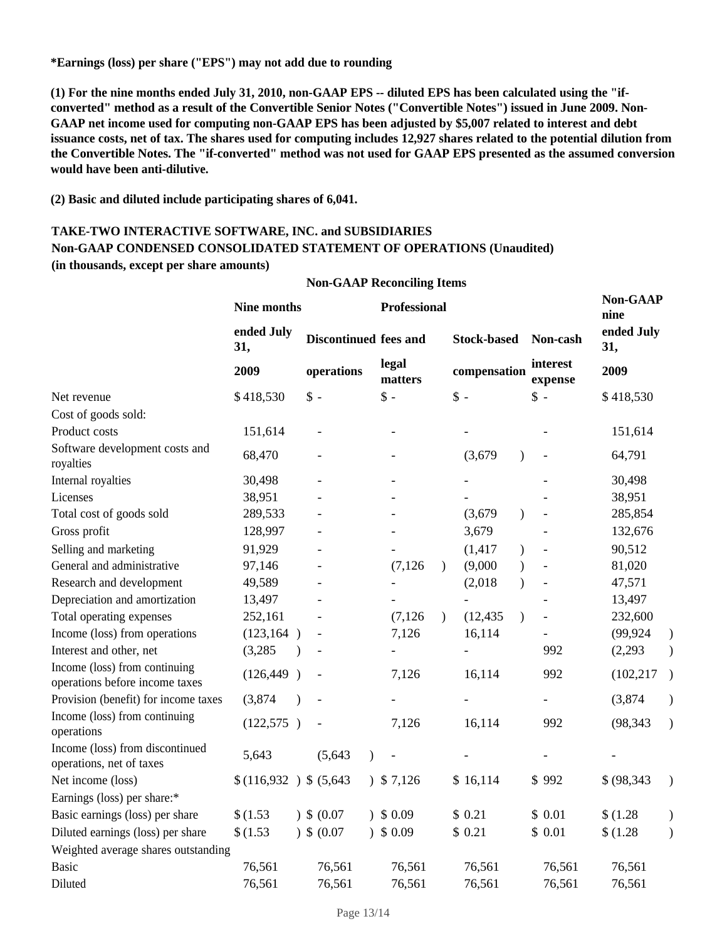**\*Earnings (loss) per share ("EPS") may not add due to rounding**

**(1) For the nine months ended July 31, 2010, non-GAAP EPS -- diluted EPS has been calculated using the "ifconverted" method as a result of the Convertible Senior Notes ("Convertible Notes") issued in June 2009. Non-GAAP net income used for computing non-GAAP EPS has been adjusted by \$5,007 related to interest and debt issuance costs, net of tax. The shares used for computing includes 12,927 shares related to the potential dilution from the Convertible Notes. The "if-converted" method was not used for GAAP EPS presented as the assumed conversion would have been anti-dilutive.**

**Non-GAAP Reconciling Items**

**(2) Basic and diluted include participating shares of 6,041.**

## **TAKE-TWO INTERACTIVE SOFTWARE, INC. and SUBSIDIARIES Non-GAAP CONDENSED CONSOLIDATED STATEMENT OF OPERATIONS (Unaudited) (in thousands, except per share amounts)**

|                                                                 | Nine months               |  |                              | <b>Professional</b> | <b>Non-GAAP</b><br>nine |                    |           |                     |                   |                             |
|-----------------------------------------------------------------|---------------------------|--|------------------------------|---------------------|-------------------------|--------------------|-----------|---------------------|-------------------|-----------------------------|
|                                                                 | ended July<br>31,         |  | <b>Discontinued fees and</b> | legal<br>matters    |                         | <b>Stock-based</b> |           | Non-cash            | ended July<br>31, |                             |
|                                                                 | 2009                      |  | operations                   |                     |                         | compensation       |           | interest<br>expense | 2009              |                             |
| Net revenue                                                     | \$418,530                 |  | $\mathbb{S}$ -               | $\$ -               |                         | $\uparrow$ -       |           | $\mathbb{S}$ -      | \$418,530         |                             |
| Cost of goods sold:                                             |                           |  |                              |                     |                         |                    |           |                     |                   |                             |
| Product costs                                                   | 151,614                   |  |                              |                     |                         |                    |           |                     | 151,614           |                             |
| Software development costs and<br>royalties                     | 68,470                    |  |                              |                     |                         | (3,679)            | $\lambda$ |                     | 64,791            |                             |
| Internal royalties                                              | 30,498                    |  |                              |                     |                         |                    |           |                     | 30,498            |                             |
| Licenses                                                        | 38,951                    |  |                              |                     |                         |                    |           |                     | 38,951            |                             |
| Total cost of goods sold                                        | 289,533                   |  |                              |                     |                         | (3,679)            | $\lambda$ |                     | 285,854           |                             |
| Gross profit                                                    | 128,997                   |  |                              |                     |                         | 3,679              |           |                     | 132,676           |                             |
| Selling and marketing                                           | 91,929                    |  |                              |                     |                         | (1, 417)           | $\lambda$ |                     | 90,512            |                             |
| General and administrative                                      | 97,146                    |  |                              | (7, 126)            | $\mathcal{L}$           | (9,000)            |           | $\overline{a}$      | 81,020            |                             |
| Research and development                                        | 49,589                    |  |                              |                     |                         | (2,018)            | $\lambda$ | $\overline{a}$      | 47,571            |                             |
| Depreciation and amortization                                   | 13,497                    |  |                              |                     |                         |                    |           |                     | 13,497            |                             |
| Total operating expenses                                        | 252,161                   |  |                              | (7, 126)            | $\lambda$               | (12, 435)          | $\lambda$ |                     | 232,600           |                             |
| Income (loss) from operations                                   | (123, 164)                |  | $\overline{\phantom{a}}$     | 7,126               |                         | 16,114             |           |                     | (99, 924)         | $\mathcal{C}^{\mathcal{C}}$ |
| Interest and other, net                                         | (3,285)                   |  |                              |                     |                         |                    |           | 992                 | (2,293)           | $\mathcal{L}$               |
| Income (loss) from continuing<br>operations before income taxes | (126, 449)                |  |                              | 7,126               |                         | 16,114             |           | 992                 | (102, 217)        | $\lambda$                   |
| Provision (benefit) for income taxes                            | (3,874)                   |  |                              |                     |                         |                    |           |                     | (3,874)           | $\mathcal{E}$               |
| Income (loss) from continuing<br>operations                     | (122, 575)                |  |                              | 7,126               |                         | 16,114             |           | 992                 | (98, 343)         | $\mathcal{L}$               |
| Income (loss) from discontinued<br>operations, net of taxes     | 5,643                     |  | (5,643)<br>$\lambda$         |                     |                         |                    |           |                     |                   |                             |
| Net income (loss)                                               | $$(116,932)$ \$ $(5,643)$ |  |                              | 3, 7, 126           |                         | \$16,114           |           | \$992               | \$ (98, 343)      | $\lambda$                   |
| Earnings (loss) per share:*                                     |                           |  |                              |                     |                         |                    |           |                     |                   |                             |
| Basic earnings (loss) per share                                 | \$(1.53)                  |  | $)$ \$ $(0.07)$              | $)$ \$ 0.09         |                         | \$0.21             |           | \$0.01              | \$(1.28)          | $\mathcal{E}$               |
| Diluted earnings (loss) per share                               | \$(1.53)                  |  | $)$ \$ $(0.07)$              | $)$ \$ 0.09         |                         | \$0.21             |           | \$0.01              | \$(1.28)          | $\mathcal{E}$               |
| Weighted average shares outstanding                             |                           |  |                              |                     |                         |                    |           |                     |                   |                             |
| <b>Basic</b>                                                    | 76,561                    |  | 76,561                       | 76,561              |                         | 76,561             |           | 76,561              | 76,561            |                             |
| Diluted                                                         | 76,561                    |  | 76,561                       | 76,561              |                         | 76,561             |           | 76,561              | 76,561            |                             |